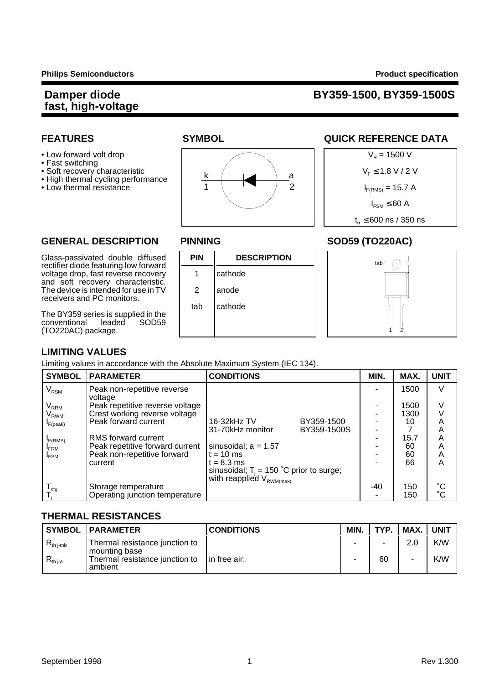## **fast, high-voltage**

## **Damper diode BY359-1500, BY359-1500S**

- 
- Fast switching
- 
- High thermal cycling performance
- 





### **FEATURES SYMBOL SYMBOL QUICK REFERENCE DATA**



#### **GENERAL DESCRIPTION PINNING SOD59 (TO220AC)**

Glass-passivated double diffused **PIN DESCRIPTION** rectifier diode featuring low forward voltage drop, fast reverse recovery | 1 | cathode and soft recovery characteristic. The device is intended for use in  $TV$   $\vert$  2  $\vert$  anode receivers and PC monitors.

The BY359 series is supplied in the<br>conventional leaded SOD59 conventional (TO220AC) package.





#### **LIMITING VALUES**

Limiting values in accordance with the Absolute Maximum System (IEC 134).

| <b>SYMBOL</b>               | <b>PARAMETER</b>                       | <b>CONDITIONS</b>                           |             | MIN. | MAX. | <b>UNIT</b> |
|-----------------------------|----------------------------------------|---------------------------------------------|-------------|------|------|-------------|
| $\rm V_{\rm RSM}$           | Peak non-repetitive reverse<br>voltage |                                             |             |      | 1500 | V           |
| $\mathsf{V}_{\mathsf{RRM}}$ | Peak repetitive reverse voltage        |                                             |             |      | 1500 | V           |
| V <sub>rwm</sub>            | Crest working reverse voltage          |                                             |             |      | 1300 |             |
| $I_{F(peak)}$               | Peak forward current                   | 16-32kHz TV                                 | BY359-1500  |      | 10   | Α           |
|                             |                                        | 31-70kHz monitor                            | BY359-1500S |      |      | Α           |
| F(RMS)                      | RMS forward current                    |                                             |             |      | 15.7 | А           |
| <b>FRM</b>                  | Peak repetitive forward current        | sinusoidal; $a = 1.57$                      |             |      | 60   | Α           |
| $I_{FSM}$                   | Peak non-repetitive forward            | $t = 10$ ms                                 |             |      | 60   | Α           |
|                             | current                                | $t = 8.3$ ms                                |             |      | 66   | A           |
|                             |                                        | sinusoidal; $T_i = 150$ °C prior to surge;  |             |      |      |             |
|                             |                                        | with reapplied $V_{\text{RWM}(\text{max})}$ |             |      |      |             |
| $T_{\text{stg}}$            | Storage temperature                    |                                             |             | -40  | 150  | $^{\circ}C$ |
|                             | Operating junction temperature         |                                             |             |      | 150  | $^{\circ}C$ |

#### **THERMAL RESISTANCES**

|                | <b>SYMBOL PARAMETER</b>                         | <b>CONDITIONS</b> | MIN. | TYP. | MAX. | <b>UNIT</b> |
|----------------|-------------------------------------------------|-------------------|------|------|------|-------------|
| $R_{th\ j-mb}$ | Thermal resistance junction to<br>mounting base |                   | -    | -    | 2.0  | K/W         |
| $R_{th\,ia}$   | Thermal resistance junction to<br>ambient       | lin free air.     |      | 60   |      | K/W         |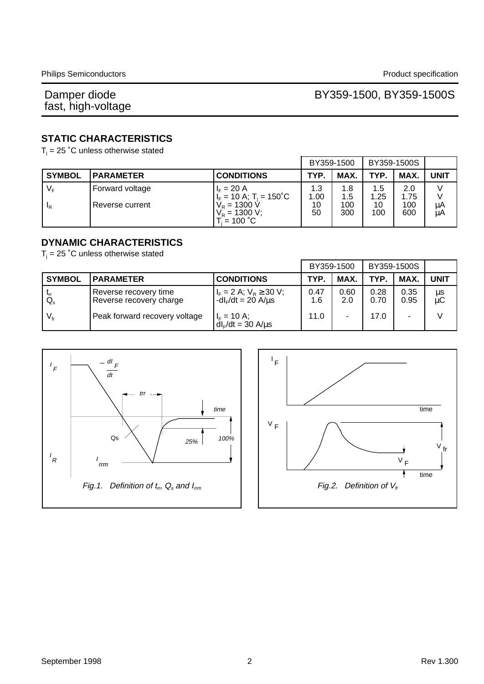### BY359-1500, BY359-1500S

#### **STATIC CHARACTERISTICS**

 $T_i$  = 25 °C unless otherwise stated

|                |                  | BY359-1500                                                          |             | BY359-1500S |             |             |             |
|----------------|------------------|---------------------------------------------------------------------|-------------|-------------|-------------|-------------|-------------|
| <b>SYMBOL</b>  | <b>PARAMETER</b> | <b>CONDITIONS</b>                                                   | TYP.        | MAX.        | <b>TYP</b>  | MAX.        | <b>UNIT</b> |
| V <sub>F</sub> | Forward voltage  | $I_{F} = 20 A$<br>$I_F = 10$ A; T <sub>i</sub> = 150 <sup>°</sup> C | 1.3<br>1.00 | 1.8<br>1.5  | 1.5<br>1.25 | 2.0<br>1.75 |             |
| <sup>I</sup> R | Reverse current  | $V_R = 1300 V$<br>$V_R$ = 1300 V;<br>$\bar{E} = 100 \degree C$      | 10<br>50    | 100<br>300  | 10<br>100   | 100<br>600  | μA<br>μA    |

#### **DYNAMIC CHARACTERISTICS**

 $T_i$  = 25 °C unless otherwise stated

|                 |                                                  | BY359-1500                                                |             | BY359-1500S |              |              |             |
|-----------------|--------------------------------------------------|-----------------------------------------------------------|-------------|-------------|--------------|--------------|-------------|
| <b>SYMBOL</b>   | <b>PARAMETER</b>                                 | <b>CONDITIONS</b>                                         | <b>TYP</b>  | MAX.        | <b>TYP</b>   | <b>MAX</b>   | <b>UNIT</b> |
| $Q_{\rm s}$     | Reverse recovery time<br>Reverse recovery charge | $I_F = 2 A$ ; $V_R \ge 30 V$ ;<br>$-dIF/dt = 20 A/μs$     | 0.47<br>1.6 | 0.60<br>2.0 | 0.28<br>0.70 | 0.35<br>0.95 | μs<br>μC    |
| $V_{\text{fr}}$ | Peak forward recovery voltage                    | l <sub>F</sub> = 10 A;<br>  dl <sub>F</sub> /dt = 30 A/µs | 11.0        |             | 17.0         |              |             |



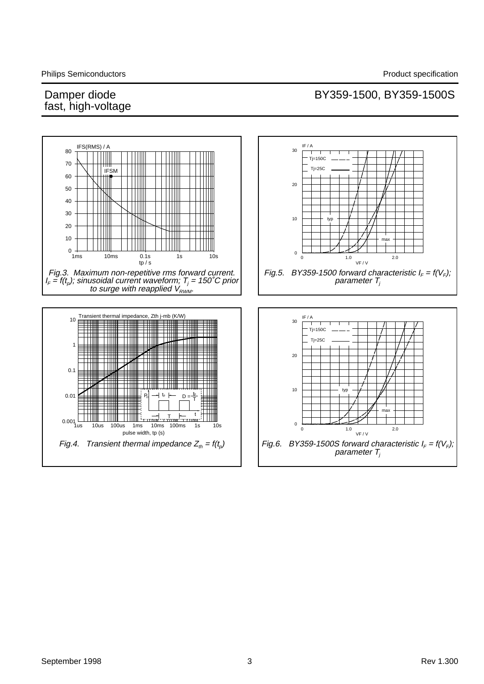## BY359-1500, BY359-1500S

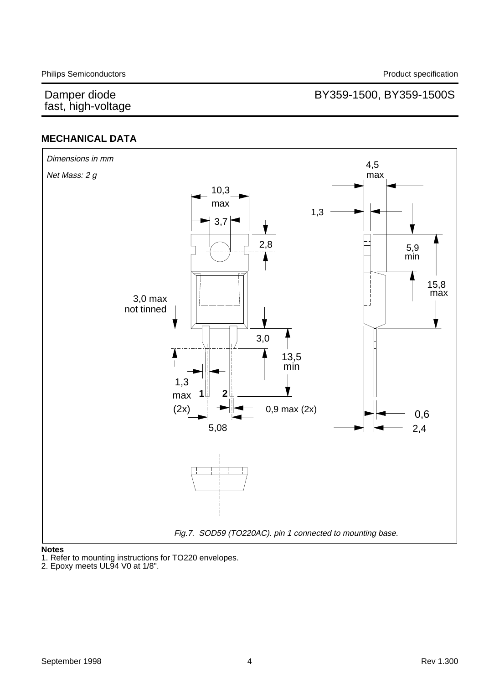### BY359-1500, BY359-1500S

### **MECHANICAL DATA**



#### **Notes**

1. Refer to mounting instructions for TO220 envelopes.

2. Epoxy meets UL94 V0 at 1/8".